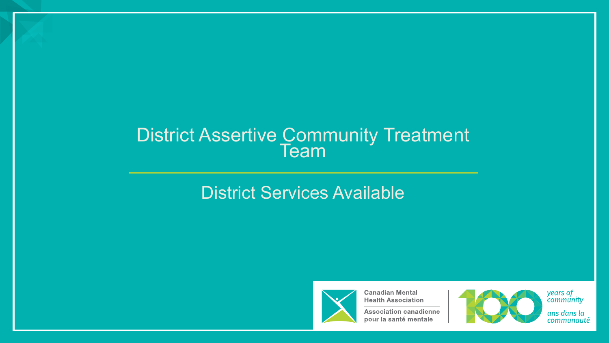# District Assertive Community Treatment Team

#### District Services Available



**Canadian Mental Health Association** 

**Association canadienne** pour la santé mentale



years of<br>community

ans dans la communauté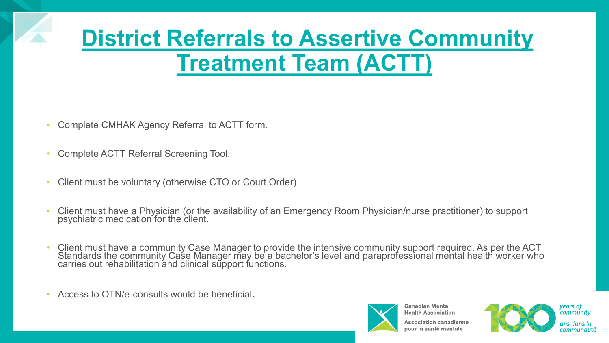### **District Referrals to Assertive Community Treatment Team (ACTT)**

- Complete CMHAK Agency Referral to ACTT form.
- Complete ACTT Referral Screening Tool.
- Client must be voluntary (otherwise CTO or Court Order)
- Client must have a Physician (or the availability of an Emergency Room Physician/nurse practitioner) to support psychiatric medication for the client.
- Client must have a community Case Manager to provide the intensive community support required. As per the ACT Standards the community Case Manager may be a bachelor's level and paraprofessional mental health worker who carries out rehabilitation and clinical sŭpport functions.
- Access to OTN/e-consults would be beneficial.



**Health Association Association canadienne** pour la santé mentale

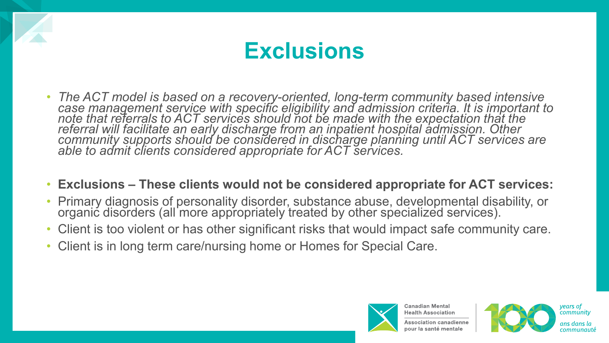

- *The ACT model is based on a recovery-oriented, long-term community based intensive case management service with specific eligibility and admission criteria. It is important to note that referrals to ACT services should not be made with the expectation that the referral will facilitate an early discharge from an inpatient hospital admission. Other community supports should be considered in discharge planning until ACT services are able to admit clients considered appropriate for ACT services.*
- **Exclusions – These clients would not be considered appropriate for ACT services:**
- Primary diagnosis of personality disorder, substance abuse, developmental disability, or organic disorders (all more appropriately treated by other specialized services).
- Client is too violent or has other significant risks that would impact safe community care.
- Client is in long term care/nursing home or Homes for Special Care.



**Health Association Association canadienne** 



years of community ans dans la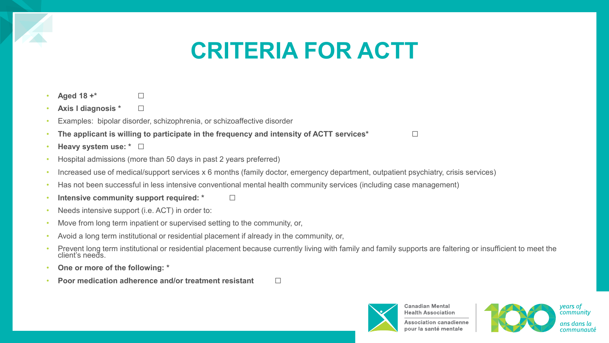#### **CRITERIA FOR ACTT**

- **Aged 18 +\*** □
- **Axis I diagnosis \*** ☐
- Examples: bipolar disorder, schizophrenia, or schizoaffective disorder
- The applicant is willing to participate in the frequency and intensity of ACTT services<sup>\*</sup> □
- **Heavy system use: \*** ☐
- Hospital admissions (more than 50 days in past 2 years preferred)
- Increased use of medical/support services x 6 months (family doctor, emergency department, outpatient psychiatry, crisis services)
- Has not been successful in less intensive conventional mental health community services (including case management)
- **Intensive community support required: \*** □
- Needs intensive support (i.e. ACT) in order to:
- Move from long term inpatient or supervised setting to the community, or,
- Avoid a long term institutional or residential placement if already in the community, or,
- Prevent long term institutional or residential placement because currently living with family and family supports are faltering or insufficient to meet the client's needs.
- **One or more of the following: \***
- **Poor medication adherence and/or treatment resistant** □



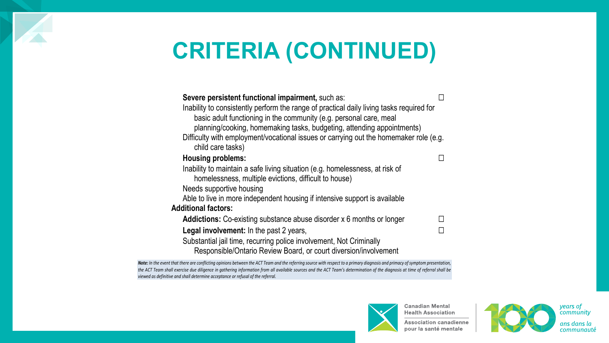#### **CRITERIA (CONTINUED)**

| Severe persistent functional impairment, such as:                                                                                                                                                                                        |  |
|------------------------------------------------------------------------------------------------------------------------------------------------------------------------------------------------------------------------------------------|--|
| Inability to consistently perform the range of practical daily living tasks required for<br>basic adult functioning in the community (e.g. personal care, meal<br>planning/cooking, homemaking tasks, budgeting, attending appointments) |  |
| Difficulty with employment/vocational issues or carrying out the homemaker role (e.g.<br>child care tasks)                                                                                                                               |  |
| <b>Housing problems:</b>                                                                                                                                                                                                                 |  |
| Inability to maintain a safe living situation (e.g. homelessness, at risk of<br>homelessness, multiple evictions, difficult to house)<br>Needs supportive housing                                                                        |  |
| Able to live in more independent housing if intensive support is available                                                                                                                                                               |  |
| <b>Additional factors:</b>                                                                                                                                                                                                               |  |
| <b>Addictions:</b> Co-existing substance abuse disorder x 6 months or longer                                                                                                                                                             |  |
| <b>Legal involvement:</b> In the past 2 years,<br>Substantial jail time, recurring police involvement, Not Criminally<br>Responsible/Ontario Review Board, or court diversion/involvement                                                |  |

*Note: In the event that there are conflicting opinions between the ACT Team and the referring source with respect to a primary diagnosis and primacy of symptom presentation, the ACT Team shall exercise due diligence in gathering information from all available sources and the ACT Team's determination of the diagnosis at time of referral shall be viewed as definitive and shall determine acceptance or refusal of the referral.*



**Canadian Mental Health Association** 

**Association canadienne** pour la santé mentale



years of<br>community ans dans la communauté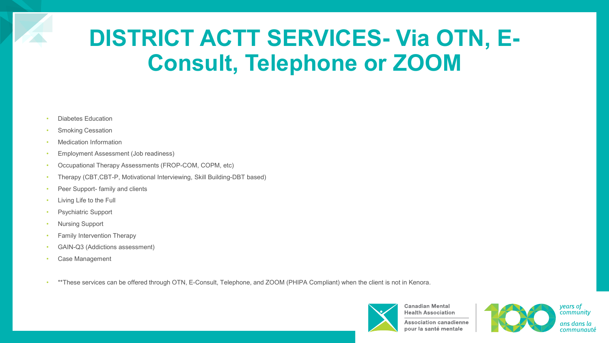#### **DISTRICT ACTT SERVICES- Via OTN, E-Consult, Telephone or ZOOM**

- Diabetes Education
- **Smoking Cessation**
- Medication Information
- Employment Assessment (Job readiness)
- Occupational Therapy Assessments (FROP-COM, COPM, etc)
- Therapy (CBT,CBT-P, Motivational Interviewing, Skill Building-DBT based)
- Peer Support- family and clients
- Living Life to the Full
- Psychiatric Support
- Nursing Support
- Family Intervention Therapy
- GAIN-Q3 (Addictions assessment)
- Case Management
- \*\*These services can be offered through OTN, E-Consult, Telephone, and ZOOM (PHIPA Compliant) when the client is not in Kenora.



**Health Association Association canadienne** pour la santé mentale



years of community ans dans la communauté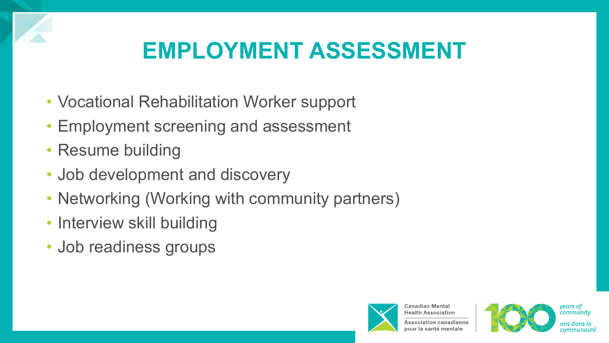

#### **EMPLOYMENT ASSESSMENT**

- Vocational Rehabilitation Worker support
- Employment screening and assessment
- Resume building
- Job development and discovery
- Networking (Working with community partners)
- Interview skill building
- Job readiness groups



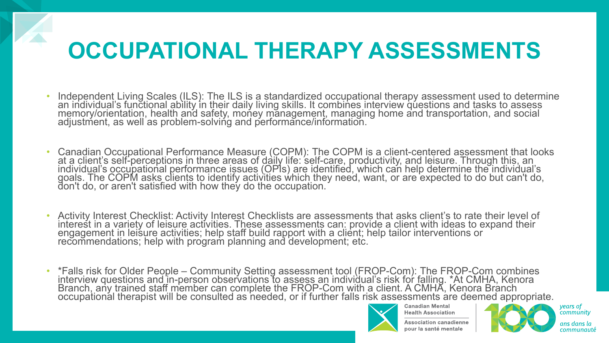### **OCCUPATIONAL THERAPY ASSESSMENTS**

- Independent Living Scales (ILS): The ILS is a standardized occupational therapy assessment used to determine an individual's functional ability in their daily living skills. It combines interview questions and tasks to assess memory/orientation, health and safety, money mănagement, managing home and transportation, and social adjustment, as well as problem-solving and performance/information.
- Canadian Occupational Performance Measure (COPM): The COPM is a client-centered assessment that looks at a client's self-perceptions in three areas of daily life: śelf-care, productivity, and leisure. Through this, an<br>individ<u>u</u>al's occupational performance issues (OPIs) are identified, which can help determine the individ goals. The COPM asks clients to identify activities which they need, want, or are expected to do but can't do, don't do, or aren't satisfied with how they do the occupation. $\check{\;\;}$
- Activity Interest Checklist: Activity Interest Checklists are assessments that asks client's to rate their level of interest in a variety of leisure activities. These assessments can: provide a client with ideas to expand their engagement in leisure activities; help staff build rapport with a client; help tailor interventions or recommendations; help with program planning and development; etc.
- \*Falls risk for Older People Community Setting assessment tool (FROP-Com): The FROP-Com combines interview questions and in-person observations to assess an individual's risk for falling. \*At CMHA, Kenora<br>Branch, any trained staff member can complete the FROP-Com with a client. A CMHA, Kenora Branch<br>occupational thera



**Canadian Mental Health Association** 

**Association canadienne** 



years of<br>community ans dans la communauté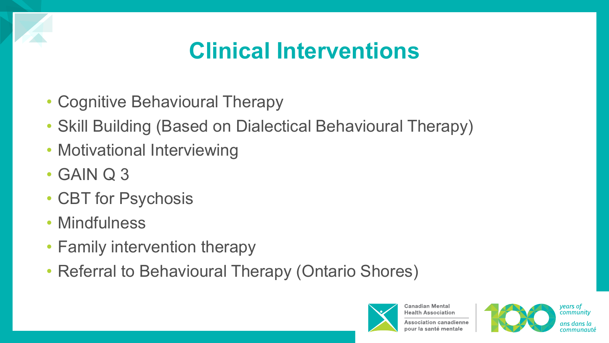#### **Clinical Interventions**

- Cognitive Behavioural Therapy
- Skill Building (Based on Dialectical Behavioural Therapy)
- Motivational Interviewing
- GAIN Q 3
- CBT for Psychosis
- Mindfulness
- Family intervention therapy
- Referral to Behavioural Therapy (Ontario Shores)



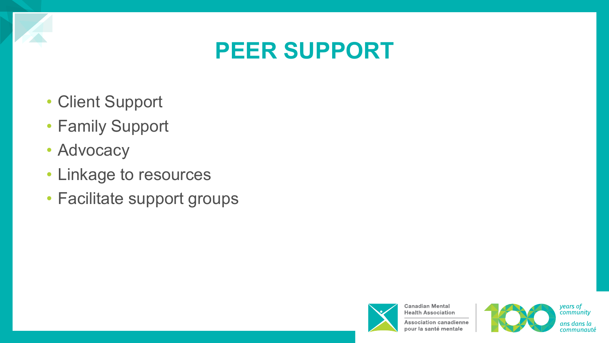

#### **PEER SUPPORT**

- Client Support
- Family Support
- Advocacy
- Linkage to resources
- Facilitate support groups



**Health Association Association canadienne** pour la santé mentale

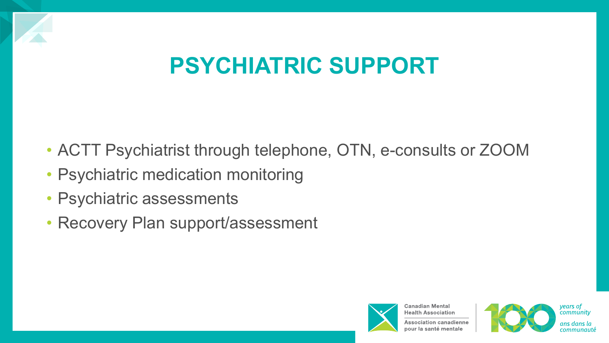

#### **PSYCHIATRIC SUPPORT**

- ACTT Psychiatrist through telephone, OTN, e-consults or ZOOM
- Psychiatric medication monitoring
- Psychiatric assessments
- Recovery Plan support/assessment



**Health Association Association canadienne** 



years of community ans dans la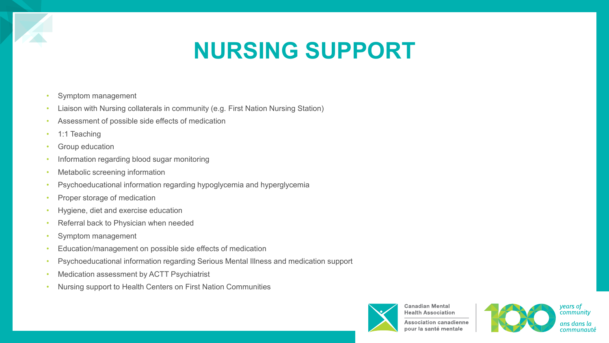#### **NURSING SUPPORT**

- Symptom management
- Liaison with Nursing collaterals in community (e.g. First Nation Nursing Station)
- Assessment of possible side effects of medication
- 1:1 Teaching
- Group education
- Information regarding blood sugar monitoring
- Metabolic screening information
- Psychoeducational information regarding hypoglycemia and hyperglycemia
- Proper storage of medication
- Hygiene, diet and exercise education
- Referral back to Physician when needed
- Symptom management
- Education/management on possible side effects of medication
- Psychoeducational information regarding Serious Mental Illness and medication support
- Medication assessment by ACTT Psychiatrist
- Nursing support to Health Centers on First Nation Communities